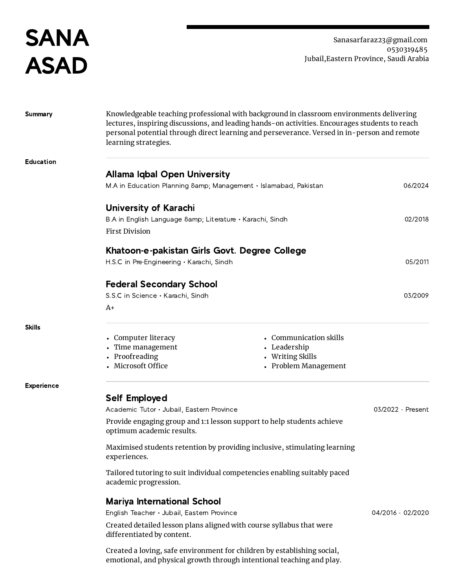SANA ASAD

Sanasarfaraz23@gmail.com 0530319485 Jubail,Eastern Province, Saudi Arabia

| <b>Summary</b>    | Knowledgeable teaching professional with background in classroom environments delivering<br>lectures, inspiring discussions, and leading hands-on activities. Encourages students to reach<br>personal potential through direct learning and perseverance. Versed in in-person and remote<br>learning strategies. |                                          |                   |
|-------------------|-------------------------------------------------------------------------------------------------------------------------------------------------------------------------------------------------------------------------------------------------------------------------------------------------------------------|------------------------------------------|-------------------|
| Education         |                                                                                                                                                                                                                                                                                                                   |                                          |                   |
|                   | Allama Iqbal Open University                                                                                                                                                                                                                                                                                      |                                          |                   |
|                   | M.A in Education Planning & Management · Islamabad, Pakistan                                                                                                                                                                                                                                                      |                                          | 06/2024           |
|                   | University of Karachi                                                                                                                                                                                                                                                                                             |                                          |                   |
|                   | B.A in English Language 8amp; Literature • Karachi, Sindh                                                                                                                                                                                                                                                         |                                          | 02/2018           |
|                   | <b>First Division</b>                                                                                                                                                                                                                                                                                             |                                          |                   |
|                   | Khatoon-e-pakistan Girls Govt. Degree College                                                                                                                                                                                                                                                                     |                                          |                   |
|                   | H.S.C in Pre-Engineering · Karachi, Sindh                                                                                                                                                                                                                                                                         |                                          | 05/2011           |
|                   | <b>Federal Secondary School</b>                                                                                                                                                                                                                                                                                   |                                          |                   |
|                   | S.S.C in Science · Karachi, Sindh                                                                                                                                                                                                                                                                                 |                                          | 03/2009           |
|                   | A+                                                                                                                                                                                                                                                                                                                |                                          |                   |
| <b>Skills</b>     |                                                                                                                                                                                                                                                                                                                   |                                          |                   |
|                   | • Computer literacy                                                                                                                                                                                                                                                                                               | • Communication skills                   |                   |
|                   | • Time management                                                                                                                                                                                                                                                                                                 | • Leadership                             |                   |
|                   | • Proofreading<br>• Microsoft Office                                                                                                                                                                                                                                                                              | • Writing Skills<br>• Problem Management |                   |
|                   |                                                                                                                                                                                                                                                                                                                   |                                          |                   |
| <b>Experience</b> | <b>Self Employed</b>                                                                                                                                                                                                                                                                                              |                                          |                   |
|                   | Academic Tutor · Jubail, Eastern Province                                                                                                                                                                                                                                                                         |                                          | 03/2022 - Present |
|                   | Provide engaging group and 1:1 lesson support to help students achieve<br>optimum academic results.                                                                                                                                                                                                               |                                          |                   |
|                   | Maximised students retention by providing inclusive, stimulating learning<br>experiences.<br>Tailored tutoring to suit individual competencies enabling suitably paced<br>academic progression.<br><b>Mariya International School</b>                                                                             |                                          |                   |
|                   |                                                                                                                                                                                                                                                                                                                   |                                          |                   |
|                   |                                                                                                                                                                                                                                                                                                                   |                                          |                   |
|                   | English Teacher · Jubail, Eastern Province<br>04/2016 - 02/2020                                                                                                                                                                                                                                                   |                                          |                   |
|                   | Created detailed lesson plans aligned with course syllabus that were<br>differentiated by content.                                                                                                                                                                                                                |                                          |                   |
|                   | Created a loving, safe environment for children by establishing social,<br>emotional, and physical growth through intentional teaching and play.                                                                                                                                                                  |                                          |                   |